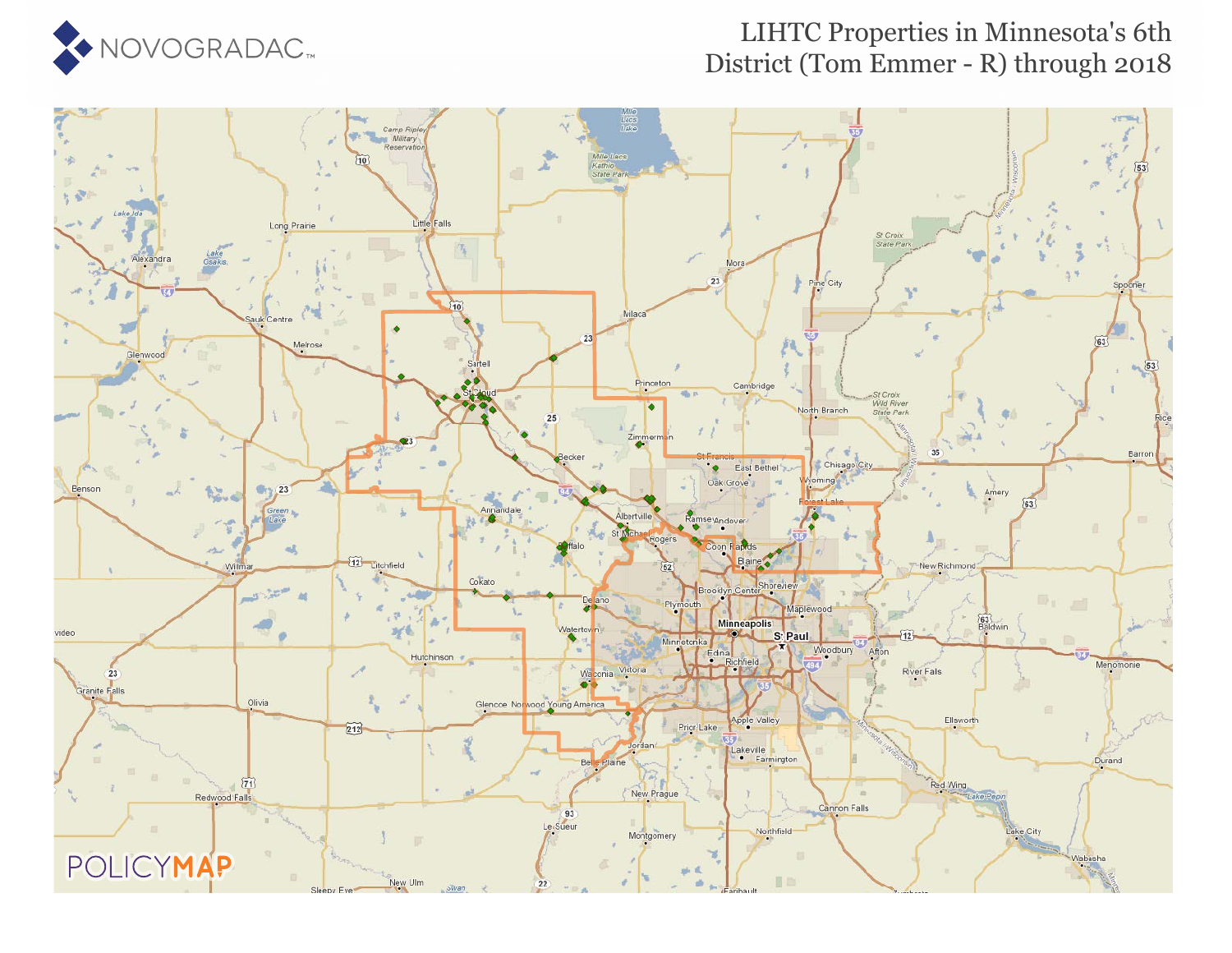

### LIHTC Properties in Minnesota's 6th District (Tom Emmer - R) through 2018

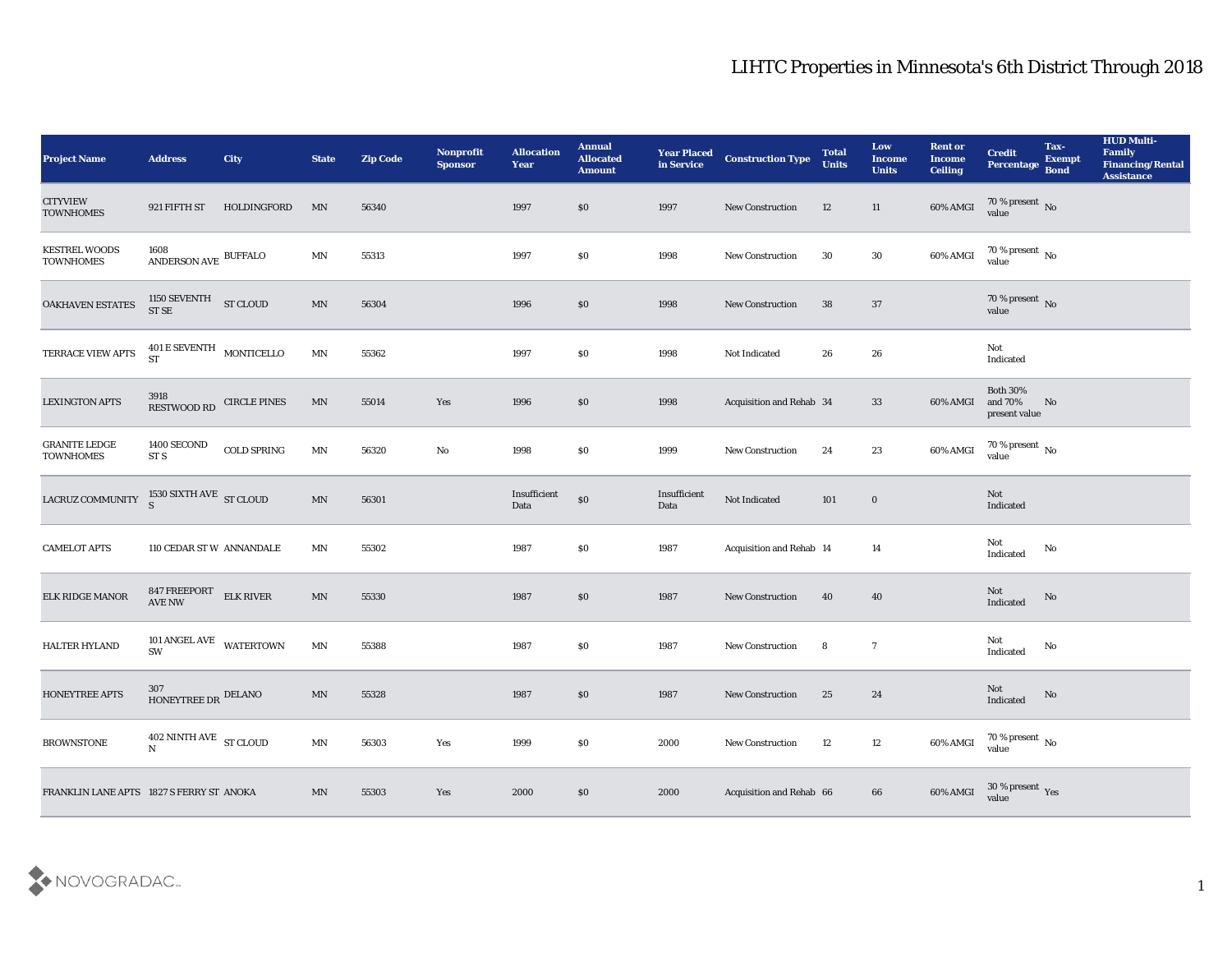| <b>Project Name</b>                                                                         | <b>Address</b>                                              | City               | <b>State</b>             | <b>Zip Code</b> | Nonprofit<br><b>Sponsor</b> | <b>Allocation</b><br><b>Year</b> | <b>Annual</b><br><b>Allocated</b><br><b>Amount</b> | <b>Year Placed<br/>in Service</b> | <b>Construction Type</b> | <b>Total</b><br><b>Units</b> | Low<br><b>Income</b><br><b>Units</b> | <b>Rent or</b><br><b>Income</b><br><b>Ceiling</b> | <b>Credit</b><br>Percentage                 | Tax-<br><b>Exempt</b><br><b>Bond</b> | <b>HUD Multi-</b><br>Family<br><b>Financing/Rental</b><br><b>Assistance</b> |
|---------------------------------------------------------------------------------------------|-------------------------------------------------------------|--------------------|--------------------------|-----------------|-----------------------------|----------------------------------|----------------------------------------------------|-----------------------------------|--------------------------|------------------------------|--------------------------------------|---------------------------------------------------|---------------------------------------------|--------------------------------------|-----------------------------------------------------------------------------|
| <b>CITYVIEW</b><br><b>TOWNHOMES</b>                                                         | 921 FIFTH ST                                                | HOLDINGFORD        | MN                       | 56340           |                             | 1997                             | \$0                                                | 1997                              | New Construction         | 12                           | 11                                   | 60% AMGI                                          | $70\,\%$ present $\,$ No value              |                                      |                                                                             |
| <b>KESTREL WOODS</b><br><b>TOWNHOMES</b>                                                    | $1608$ $$\tt ANDERSON\; AVE$$ $$\tt BUFFALO$$               |                    | $\mathbf{M} \mathbf{N}$  | 55313           |                             | 1997                             | \$0                                                | 1998                              | New Construction         | 30                           | 30                                   | 60% AMGI                                          | $70\,\%$ present $\,$ No value              |                                      |                                                                             |
| OAKHAVEN ESTATES                                                                            | 1150 SEVENTH ST CLOUD ST SE                                 |                    | $\mathbf{M} \mathbf{N}$  | 56304           |                             | 1996                             | $\$0$                                              | 1998                              | New Construction         | 38                           | 37                                   |                                                   | $70\,\%$ present $\,$ No value              |                                      |                                                                             |
| TERRACE VIEW APTS                                                                           | $401\,\mathrm{E}\,\mathrm{SEVENTH}$ MONTICELLO<br><b>ST</b> |                    | $\mathbf{M} \mathbf{N}$  | 55362           |                             | 1997                             | \$0                                                | 1998                              | Not Indicated            | 26                           | 26                                   |                                                   | Not<br>Indicated                            |                                      |                                                                             |
| <b>LEXINGTON APTS</b>                                                                       | 3918<br>RESTWOOD RD CIRCLE PINES                            |                    | MN                       | 55014           | Yes                         | 1996                             | \$0                                                | 1998                              | Acquisition and Rehab 34 |                              | 33                                   | 60% AMGI                                          | <b>Both 30%</b><br>and 70%<br>present value | No                                   |                                                                             |
| <b>GRANITE LEDGE</b><br><b>TOWNHOMES</b>                                                    | 1400 SECOND<br>ST <sub>S</sub>                              | <b>COLD SPRING</b> | MN                       | 56320           | $\mathbf {No}$              | 1998                             | \$0                                                | 1999                              | New Construction         | 24                           | 23                                   | 60% AMGI                                          | $70\,\%$ present $\,$ No value              |                                      |                                                                             |
| LACRUZ COMMUNITY $\begin{array}{c} 1530 \text{ SIXTH AVE} \\ \text{S} \end{array}$ ST CLOUD |                                                             |                    | $\ensuremath{\text{MN}}$ | 56301           |                             | Insufficient<br>Data             | $\$0$                                              | Insufficient<br>Data              | Not Indicated            | 101                          | $\bf{0}$                             |                                                   | <b>Not</b><br>Indicated                     |                                      |                                                                             |
| <b>CAMELOT APTS</b>                                                                         | 110 CEDAR ST W ANNANDALE                                    |                    | MN                       | 55302           |                             | 1987                             | \$0                                                | 1987                              | Acquisition and Rehab 14 |                              | 14                                   |                                                   | Not<br>Indicated                            | No                                   |                                                                             |
| <b>ELK RIDGE MANOR</b>                                                                      | 847 FREEPORT<br>AVE NW                                      | <b>ELK RIVER</b>   | $\ensuremath{\text{MN}}$ | 55330           |                             | 1987                             | \$0                                                | 1987                              | <b>New Construction</b>  | 40                           | 40                                   |                                                   | Not<br>Indicated                            | No                                   |                                                                             |
| HALTER HYLAND                                                                               | 101 ANGEL AVE WATERTOWN<br>SW                               |                    | $\mathbf{M} \mathbf{N}$  | 55388           |                             | 1987                             | \$0                                                | 1987                              | New Construction         | 8                            | $\overline{7}$                       |                                                   | Not<br>Indicated                            | No                                   |                                                                             |
| <b>HONEYTREE APTS</b>                                                                       | 307<br>HONEYTREE DR DELANO                                  |                    | MN                       | 55328           |                             | 1987                             | \$0                                                | 1987                              | <b>New Construction</b>  | 25                           | 24                                   |                                                   | Not<br>Indicated                            | No                                   |                                                                             |
| <b>BROWNSTONE</b>                                                                           | 402 NINTH AVE ST CLOUD<br>$\mathbf N$                       |                    | $\operatorname{MN}$      | 56303           | Yes                         | 1999                             | $\$0$                                              | 2000                              | New Construction         | 12                           | 12                                   | 60% AMGI                                          | $70\,\%$ present $\,$ No value              |                                      |                                                                             |
| FRANKLIN LANE APTS 1827 S FERRY ST ANOKA                                                    |                                                             |                    | $\ensuremath{\text{MN}}$ | 55303           | Yes                         | 2000                             | $\$0$                                              | 2000                              | Acquisition and Rehab 66 |                              | $\bf 66$                             | 60% AMGI                                          | $30\,\%$ present $\,$ Yes value             |                                      |                                                                             |

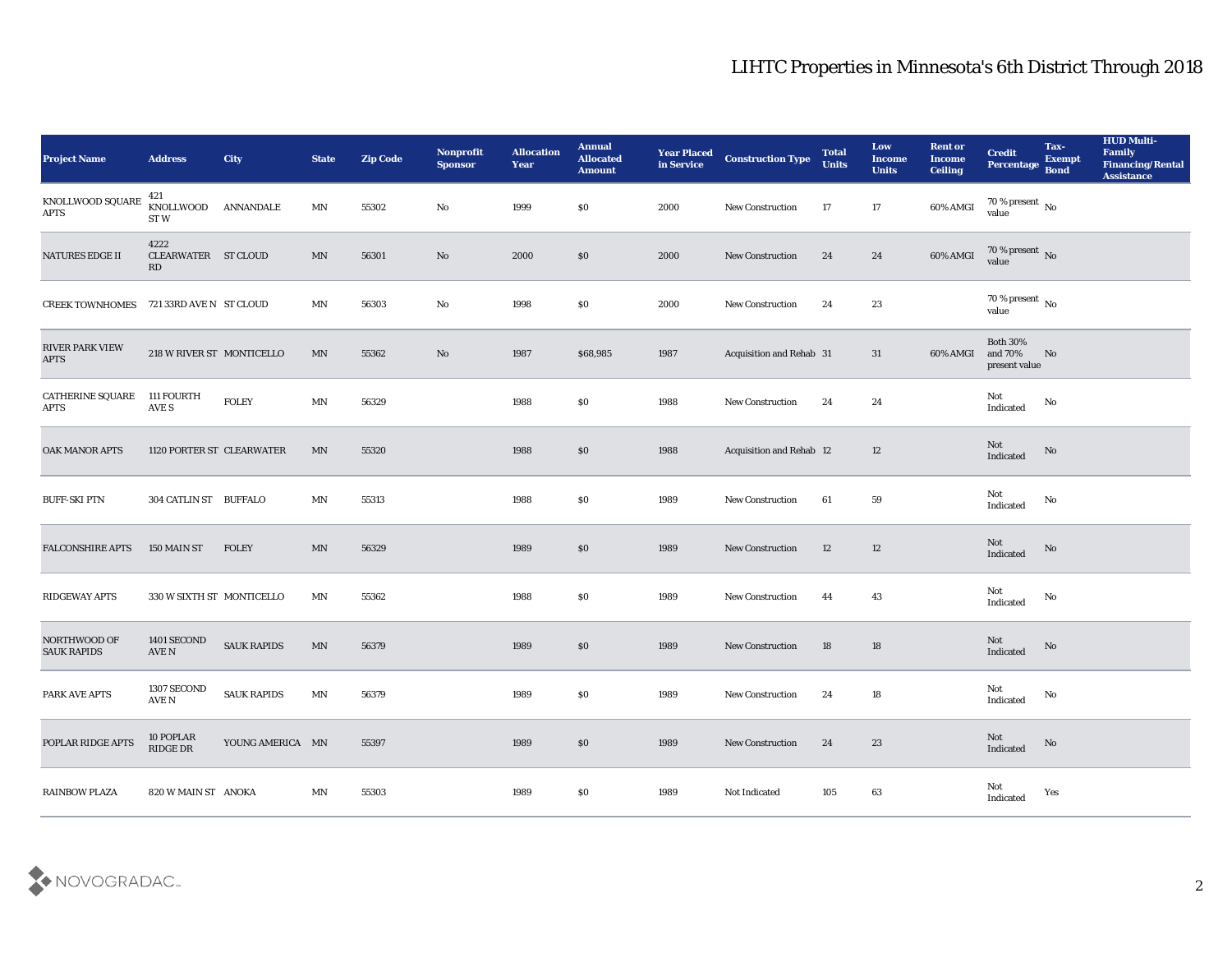| <b>Project Name</b>                   | <b>Address</b>                    | City               | <b>State</b> | <b>Zip Code</b> | Nonprofit<br><b>Sponsor</b> | <b>Allocation</b><br><b>Year</b> | <b>Annual</b><br><b>Allocated</b><br><b>Amount</b> | <b>Year Placed</b><br>in Service | <b>Construction Type</b> | <b>Total</b><br><b>Units</b> | Low<br>Income<br><b>Units</b> | <b>Rent or</b><br><b>Income</b><br><b>Ceiling</b> | <b>Credit</b><br><b>Percentage</b>          | Tax-<br><b>Exempt</b><br><b>Bond</b> | <b>HUD Multi-</b><br>Family<br><b>Financing/Rental</b><br><b>Assistance</b> |
|---------------------------------------|-----------------------------------|--------------------|--------------|-----------------|-----------------------------|----------------------------------|----------------------------------------------------|----------------------------------|--------------------------|------------------------------|-------------------------------|---------------------------------------------------|---------------------------------------------|--------------------------------------|-----------------------------------------------------------------------------|
| KNOLLWOOD SQUARE<br>$\rm APTS$        | 421<br>KNOLLWOOD<br>ST W          | ANNANDALE          | MN           | 55302           | No                          | 1999                             | $\$0$                                              | 2000                             | New Construction         | 17                           | 17                            | 60% AMGI                                          | 70 % present No<br>value                    |                                      |                                                                             |
| <b>NATURES EDGE II</b>                | 4222<br>CLEARWATER ST CLOUD<br>RD |                    | MN           | 56301           | No                          | 2000                             | \$0                                                | 2000                             | <b>New Construction</b>  | 24                           | 24                            | 60% AMGI                                          | $70\,\%$ present $\,$ No value              |                                      |                                                                             |
| <b>CREEK TOWNHOMES</b>                | 721 33RD AVE N ST CLOUD           |                    | MN           | 56303           | No                          | 1998                             | \$0                                                | 2000                             | New Construction         | 24                           | 23                            |                                                   | 70 % present $\,$ No $\,$<br>value          |                                      |                                                                             |
| <b>RIVER PARK VIEW</b><br><b>APTS</b> | 218 W RIVER ST MONTICELLO         |                    | MN           | 55362           | No                          | 1987                             | \$68,985                                           | 1987                             | Acquisition and Rehab 31 |                              | 31                            | 60% AMGI                                          | <b>Both 30%</b><br>and 70%<br>present value | No                                   |                                                                             |
| <b>CATHERINE SQUARE</b><br>APTS       | 111 FOURTH<br>AVE S               | <b>FOLEY</b>       | MN           | 56329           |                             | 1988                             | $\$0$                                              | 1988                             | <b>New Construction</b>  | 24                           | 24                            |                                                   | Not<br>Indicated                            | No                                   |                                                                             |
| <b>OAK MANOR APTS</b>                 | 1120 PORTER ST CLEARWATER         |                    | MN           | 55320           |                             | 1988                             | \$0                                                | 1988                             | Acquisition and Rehab 12 |                              | 12                            |                                                   | Not<br>Indicated                            | No                                   |                                                                             |
| <b>BUFF-SKI PTN</b>                   | 304 CATLIN ST BUFFALO             |                    | MN           | 55313           |                             | 1988                             | \$0                                                | 1989                             | <b>New Construction</b>  | 61                           | 59                            |                                                   | Not<br>Indicated                            | No                                   |                                                                             |
| <b>FALCONSHIRE APTS</b>               | 150 MAIN ST                       | <b>FOLEY</b>       | MN           | 56329           |                             | 1989                             | \$0                                                | 1989                             | <b>New Construction</b>  | 12                           | 12                            |                                                   | Not<br>Indicated                            | No                                   |                                                                             |
| <b>RIDGEWAY APTS</b>                  | 330 W SIXTH ST MONTICELLO         |                    | MN           | 55362           |                             | 1988                             | \$0                                                | 1989                             | <b>New Construction</b>  | 44                           | 43                            |                                                   | Not<br>Indicated                            | $\mathbf{N}\mathbf{o}$               |                                                                             |
| NORTHWOOD OF<br><b>SAUK RAPIDS</b>    | 1401 SECOND<br>AVE N              | <b>SAUK RAPIDS</b> | MN           | 56379           |                             | 1989                             | \$0                                                | 1989                             | <b>New Construction</b>  | 18                           | 18                            |                                                   | Not<br>Indicated                            | No                                   |                                                                             |
| PARK AVE APTS                         | 1307 SECOND<br>AVE N              | <b>SAUK RAPIDS</b> | MN           | 56379           |                             | 1989                             | $\$0$                                              | 1989                             | <b>New Construction</b>  | 24                           | 18                            |                                                   | Not<br>Indicated                            | No                                   |                                                                             |
| POPLAR RIDGE APTS                     | 10 POPLAR<br>RIDGE DR             | YOUNG AMERICA MN   |              | 55397           |                             | 1989                             | $\$0$                                              | 1989                             | New Construction         | 24                           | $23\,$                        |                                                   | Not<br>Indicated                            | $\rm \bf No$                         |                                                                             |
| <b>RAINBOW PLAZA</b>                  | 820 W MAIN ST ANOKA               |                    | MN           | 55303           |                             | 1989                             | \$0                                                | 1989                             | Not Indicated            | $105\,$                      | 63                            |                                                   | Not<br>Indicated                            | Yes                                  |                                                                             |

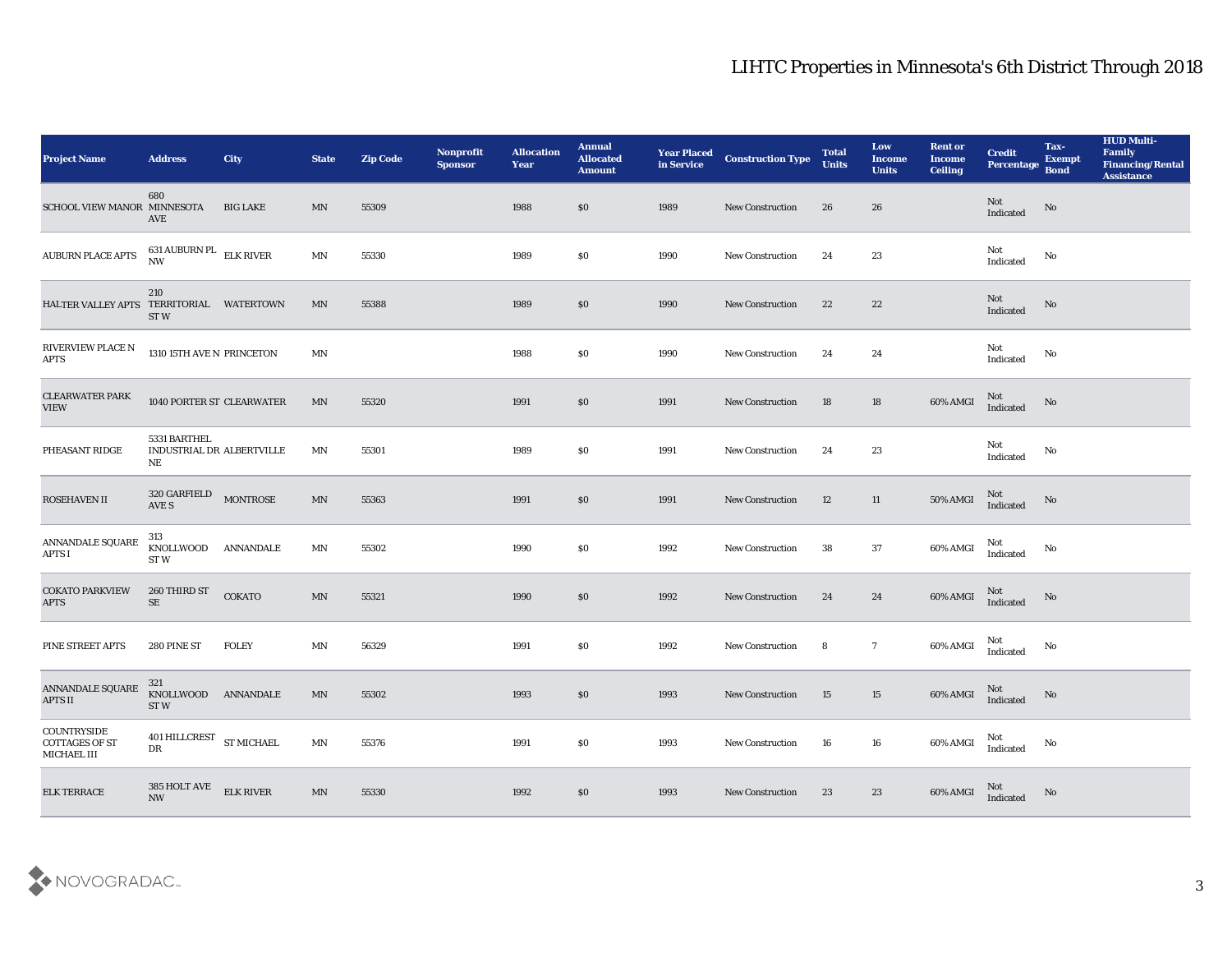| <b>Project Name</b>                                 | <b>Address</b>                                  | City             | <b>State</b>             | <b>Zip Code</b> | Nonprofit<br><b>Sponsor</b> | <b>Allocation</b><br><b>Year</b> | <b>Annual</b><br><b>Allocated</b><br><b>Amount</b> | <b>Year Placed</b><br>in Service | <b>Construction Type</b> | <b>Total</b><br><b>Units</b> | Low<br><b>Income</b><br><b>Units</b> | <b>Rent or</b><br><b>Income</b><br><b>Ceiling</b> | <b>Credit</b><br>Percentage | Tax-<br><b>Exempt</b><br><b>Bond</b> | <b>HUD Multi-</b><br>Family<br><b>Financing/Rental</b><br><b>Assistance</b> |
|-----------------------------------------------------|-------------------------------------------------|------------------|--------------------------|-----------------|-----------------------------|----------------------------------|----------------------------------------------------|----------------------------------|--------------------------|------------------------------|--------------------------------------|---------------------------------------------------|-----------------------------|--------------------------------------|-----------------------------------------------------------------------------|
| SCHOOL VIEW MANOR MINNESOTA                         | 680<br>AVE                                      | <b>BIG LAKE</b>  | MN                       | 55309           |                             | 1988                             | $\$0$                                              | 1989                             | <b>New Construction</b>  | 26                           | 26                                   |                                                   | Not<br>Indicated            | No                                   |                                                                             |
| <b>AUBURN PLACE APTS</b>                            | $631$ AUBURN PL $\,$ ELK RIVER $\,$ NW $\,$     |                  | MN                       | 55330           |                             | 1989                             | \$0                                                | 1990                             | <b>New Construction</b>  | 24                           | 23                                   |                                                   | Not<br>Indicated            | No                                   |                                                                             |
| HALTER VALLEY APTS TERRITORIAL WATERTOWN            | 210<br>ST <sub>W</sub>                          |                  | MN                       | 55388           |                             | 1989                             | \$0                                                | 1990                             | New Construction         | 22                           | 22                                   |                                                   | Not<br>Indicated            | No                                   |                                                                             |
| RIVERVIEW PLACE N<br><b>APTS</b>                    | 1310 15TH AVE N PRINCETON                       |                  | $\ensuremath{\text{MN}}$ |                 |                             | 1988                             | \$0                                                | 1990                             | <b>New Construction</b>  | 24                           | 24                                   |                                                   | Not<br>Indicated            | No                                   |                                                                             |
| <b>CLEARWATER PARK</b><br><b>VIEW</b>               | 1040 PORTER ST CLEARWATER                       |                  | MN                       | 55320           |                             | 1991                             | \$0                                                | 1991                             | <b>New Construction</b>  | 18                           | 18                                   | 60% AMGI                                          | $\rm Not$ Indicated         | No                                   |                                                                             |
| PHEASANT RIDGE                                      | 5331 BARTHEL<br>INDUSTRIAL DR ALBERTVILLE<br>NE |                  | MN                       | 55301           |                             | 1989                             | \$0                                                | 1991                             | New Construction         | 24                           | 23                                   |                                                   | Not<br>Indicated            | No                                   |                                                                             |
| ROSEHAVEN II                                        | 320 GARFIELD<br>AVE S                           | <b>MONTROSE</b>  | $\ensuremath{\text{MN}}$ | 55363           |                             | 1991                             | \$0                                                | 1991                             | <b>New Construction</b>  | 12                           | 11                                   | 50% AMGI                                          | Not<br>Indicated            | No                                   |                                                                             |
| ANNANDALE SQUARE<br><b>APTS I</b>                   | 313<br>KNOLLWOOD<br>ST <sub>W</sub>             | <b>ANNANDALE</b> | $\mbox{MN}$              | 55302           |                             | 1990                             | \$0                                                | 1992                             | <b>New Construction</b>  | 38                           | 37                                   | 60% AMGI                                          | Not<br>Indicated            | No                                   |                                                                             |
| <b>COKATO PARKVIEW</b><br><b>APTS</b>               | 260 THIRD ST<br>SE                              | <b>COKATO</b>    | $\ensuremath{\text{MN}}$ | 55321           |                             | 1990                             | \$0                                                | 1992                             | <b>New Construction</b>  | 24                           | 24                                   | 60% AMGI                                          | Not<br>Indicated            | No                                   |                                                                             |
| PINE STREET APTS                                    | 280 PINE ST                                     | <b>FOLEY</b>     | $\mbox{MN}$              | 56329           |                             | 1991                             | \$0                                                | 1992                             | <b>New Construction</b>  | 8                            | $7\phantom{.0}$                      | 60% AMGI                                          | Not<br>Indicated            | No                                   |                                                                             |
| ANNANDALE SQUARE<br><b>APTS II</b>                  | 321<br>KNOLLWOOD ANNANDALE<br>ST W              |                  | MN                       | 55302           |                             | 1993                             | \$0                                                | 1993                             | <b>New Construction</b>  | 15                           | 15                                   | 60% AMGI                                          | Not<br>Indicated            | No                                   |                                                                             |
| COUNTRYSIDE<br><b>COTTAGES OF ST</b><br>MICHAEL III | $401$ HILLCREST $\,$ ST MICHAEL<br>DR           |                  | $\operatorname{MN}$      | 55376           |                             | 1991                             | $\$0$                                              | 1993                             | New Construction         | 16                           | 16                                   | 60% AMGI                                          | Not<br>Indicated            | $\mathbf{N}\mathbf{o}$               |                                                                             |
| <b>ELK TERRACE</b>                                  | 385 HOLT AVE<br>NW                              | <b>ELK RIVER</b> | $\ensuremath{\text{MN}}$ | 55330           |                             | 1992                             | $\$0$                                              | 1993                             | <b>New Construction</b>  | 23                           | 23                                   | 60% AMGI                                          | Not<br>Indicated            | $\mathbf{N}\mathbf{o}$               |                                                                             |

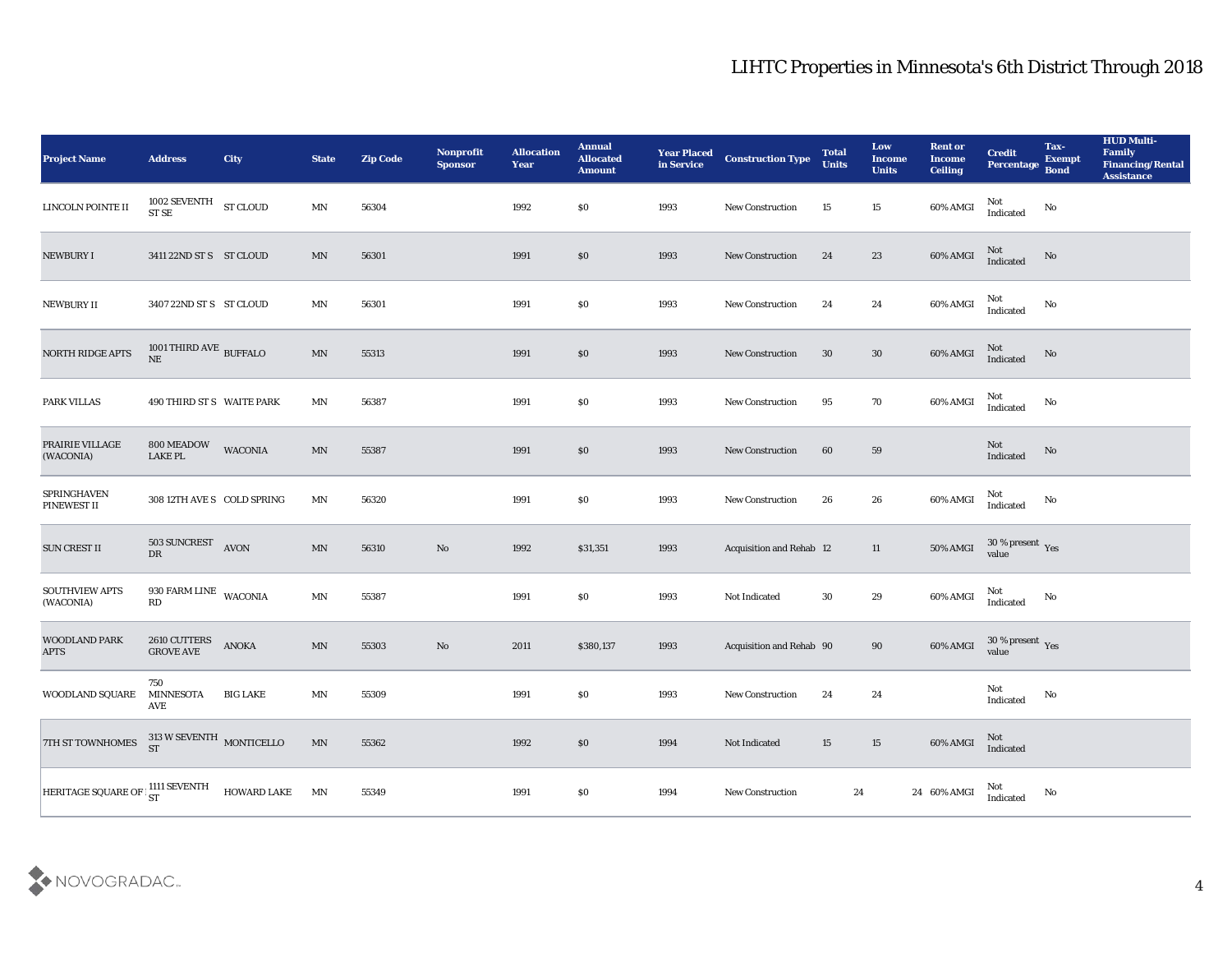| <b>Project Name</b>                                 | <b>Address</b>                                    | City            | <b>State</b>               | <b>Zip Code</b> | Nonprofit<br><b>Sponsor</b> | <b>Allocation</b><br><b>Year</b> | <b>Annual</b><br><b>Allocated</b><br><b>Amount</b> | <b>Year Placed</b><br>in Service | <b>Construction Type</b> | <b>Total</b><br><b>Units</b> | Low<br><b>Income</b><br><b>Units</b> | <b>Rent or</b><br><b>Income</b><br><b>Ceiling</b>                                             | <b>Credit</b><br>Percentage       | Tax-<br><b>Exempt</b><br><b>Bond</b> | <b>HUD Multi-</b><br>Family<br><b>Financing/Rental</b><br><b>Assistance</b> |
|-----------------------------------------------------|---------------------------------------------------|-----------------|----------------------------|-----------------|-----------------------------|----------------------------------|----------------------------------------------------|----------------------------------|--------------------------|------------------------------|--------------------------------------|-----------------------------------------------------------------------------------------------|-----------------------------------|--------------------------------------|-----------------------------------------------------------------------------|
| LINCOLN POINTE II                                   | $1002$ SEVENTH $$\rm{ST}\,$ CLOUD $$\rm{ST}\,$ ST |                 | MN                         | 56304           |                             | 1992                             | \$0                                                | 1993                             | New Construction         | 15                           | 15                                   | 60% AMGI                                                                                      | Not<br>$\operatorname{Indicated}$ | No                                   |                                                                             |
| NEWBURY I                                           | 3411 22ND ST S ST CLOUD                           |                 | MN                         | 56301           |                             | 1991                             | \$0                                                | 1993                             | <b>New Construction</b>  | 24                           | 23                                   | 60% AMGI                                                                                      | Not<br>Indicated                  | No                                   |                                                                             |
| NEWBURY II                                          | 3407 22ND ST S ST CLOUD                           |                 | $\mathbf{M} \mathbf{N}$    | 56301           |                             | 1991                             | \$0                                                | 1993                             | New Construction         | 24                           | 24                                   | 60% AMGI                                                                                      | Not<br>Indicated                  | No                                   |                                                                             |
| NORTH RIDGE APTS                                    | 1001 THIRD AVE BUFFALO<br>$\rm{NE}$               |                 | MN                         | 55313           |                             | 1991                             | \$0                                                | 1993                             | New Construction         | 30                           | 30                                   | 60% AMGI                                                                                      | Not<br>Indicated                  | No                                   |                                                                             |
| PARK VILLAS                                         | 490 THIRD ST S WAITE PARK                         |                 | MN                         | 56387           |                             | 1991                             | \$0                                                | 1993                             | <b>New Construction</b>  | 95                           | 70                                   | 60% AMGI                                                                                      | Not<br>Indicated                  | No                                   |                                                                             |
| PRAIRIE VILLAGE<br>(WACONIA)                        | 800 MEADOW<br><b>LAKE PL</b>                      | <b>WACONIA</b>  | MN                         | 55387           |                             | 1991                             | \$0                                                | 1993                             | New Construction         | 60                           | 59                                   |                                                                                               | Not<br>Indicated                  | No                                   |                                                                             |
| SPRINGHAVEN<br>PINEWEST II                          | 308 12TH AVE S COLD SPRING                        |                 | $\ensuremath{\text{MN}}$   | 56320           |                             | 1991                             | \$0                                                | 1993                             | <b>New Construction</b>  | 26                           | 26                                   | 60% AMGI                                                                                      | Not<br>Indicated                  | $\mathbf{N}\mathbf{o}$               |                                                                             |
| <b>SUN CREST II</b>                                 | 503 SUNCREST<br>DR                                | AVON            | MN                         | 56310           | $\mathbf{N}\mathbf{o}$      | 1992                             | \$31,351                                           | 1993                             | Acquisition and Rehab 12 |                              | 11                                   | 50% AMGI                                                                                      | $30\,\%$ present $\,$ Yes value   |                                      |                                                                             |
| <b>SOUTHVIEW APTS</b><br>(WACONIA)                  | $930$ FARM LINE $\,$ WACONIA<br>RD                |                 | $\mathop{\rm MN}\nolimits$ | 55387           |                             | 1991                             | \$0                                                | 1993                             | Not Indicated            | 30                           | 29                                   | 60% AMGI                                                                                      | Not<br>Indicated                  | $\mathbf{No}$                        |                                                                             |
| WOODLAND PARK<br><b>APTS</b>                        | 2610 CUTTERS<br><b>GROVE AVE</b>                  | ANOKA           | MN                         | 55303           | No                          | 2011                             | \$380,137                                          | 1993                             | Acquisition and Rehab 90 |                              | 90                                   | 60% AMGI                                                                                      | $30\,\%$ present $\,$ Yes value   |                                      |                                                                             |
| WOODLAND SQUARE MINNESOTA                           | 750<br>AVE                                        | <b>BIG LAKE</b> | MN                         | 55309           |                             | 1991                             | \$0                                                | 1993                             | <b>New Construction</b>  | 24                           | 24                                   |                                                                                               | Not<br>$\operatorname{Indicated}$ | No                                   |                                                                             |
| 7TH ST TOWNHOMES $^{313}_{ST}$ W SEVENTH MONTICELLO |                                                   |                 | $\ensuremath{\text{MN}}$   | 55362           |                             | 1992                             | $\$0$                                              | 1994                             | Not Indicated            | 15                           | 15                                   | $60\% \, \mathrm{AMGI} \quad \begin{array}{c} \mathrm{Not} \\ \mathrm{Indicated} \end{array}$ |                                   |                                      |                                                                             |
| HERITAGE SQUARE OF   I111 SEVENTH                   |                                                   | HOWARD LAKE MN  |                            | 55349           |                             | 1991                             | \$0                                                | 1994                             | New Construction         | 24                           |                                      | 24 60% AMGI                                                                                   | Not<br>Indicated                  | $\mathbf {No}$                       |                                                                             |

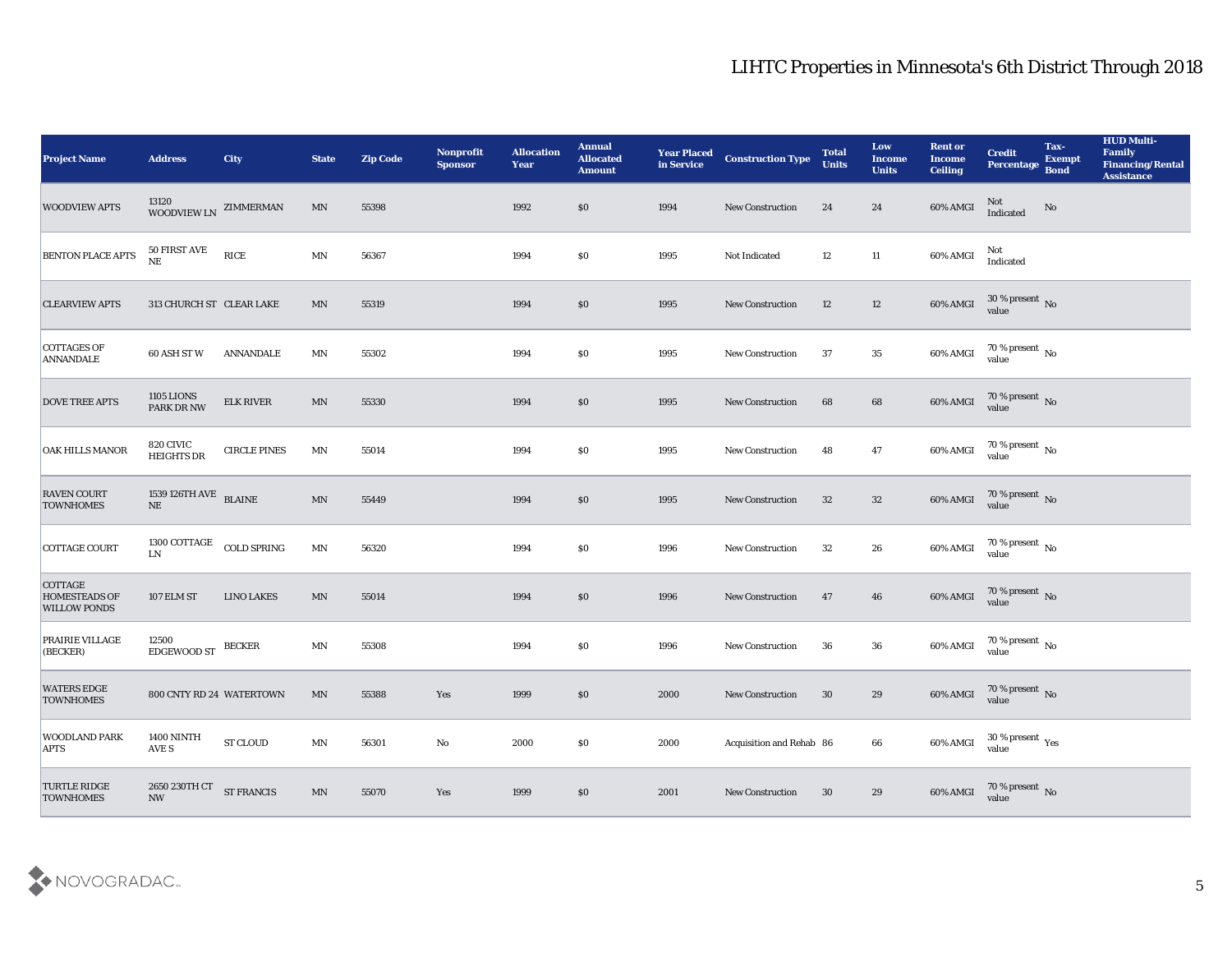| <b>Project Name</b>                                           | <b>Address</b>                                 | <b>City</b>                          | <b>State</b>             | <b>Zip Code</b> | Nonprofit<br><b>Sponsor</b> | <b>Allocation</b><br><b>Year</b> | <b>Annual</b><br><b>Allocated</b><br><b>Amount</b> | <b>Year Placed<br/>in Service</b> | <b>Construction Type</b> | <b>Total</b><br><b>Units</b> | Low<br><b>Income</b><br><b>Units</b> | <b>Rent or</b><br><b>Income</b><br><b>Ceiling</b> | <b>Credit</b><br>Percentage             | Tax-<br><b>Exempt</b><br><b>Bond</b> | <b>HUD Multi-</b><br>Family<br><b>Financing/Rental</b><br><b>Assistance</b> |
|---------------------------------------------------------------|------------------------------------------------|--------------------------------------|--------------------------|-----------------|-----------------------------|----------------------------------|----------------------------------------------------|-----------------------------------|--------------------------|------------------------------|--------------------------------------|---------------------------------------------------|-----------------------------------------|--------------------------------------|-----------------------------------------------------------------------------|
| <b>WOODVIEW APTS</b>                                          | $13120\,$ WOODVIEW LN $\,$ ZIMMERMAN           |                                      | $\ensuremath{\text{MN}}$ | 55398           |                             | 1992                             | \$0                                                | 1994                              | New Construction         | 24                           | 24                                   | 60% AMGI                                          | Not<br>Indicated                        | $\mathbf{N}\mathbf{o}$               |                                                                             |
| <b>BENTON PLACE APTS</b>                                      | 50 FIRST AVE<br>$\rm NE$                       | $\ensuremath{\text{RICE}}$           | MN                       | 56367           |                             | 1994                             | $\$0$                                              | 1995                              | Not Indicated            | 12                           | 11                                   | 60% AMGI                                          | Not<br>Indicated                        |                                      |                                                                             |
| <b>CLEARVIEW APTS</b>                                         | 313 CHURCH ST CLEAR LAKE                       |                                      | $\mathbf{M} \mathbf{N}$  | 55319           |                             | 1994                             | \$0                                                | 1995                              | New Construction         | 12                           | 12                                   | 60% AMGI                                          | $30\,\%$ present $\,$ No value          |                                      |                                                                             |
| <b>COTTAGES OF</b><br><b>ANNANDALE</b>                        | 60 ASH ST W                                    | <b>ANNANDALE</b>                     | MN                       | 55302           |                             | 1994                             | \$0\$                                              | 1995                              | <b>New Construction</b>  | 37                           | 35                                   | 60% AMGI                                          | $70\,\%$ present $\,$ No value          |                                      |                                                                             |
| <b>DOVE TREE APTS</b>                                         | <b>1105 LIONS</b><br>PARK DR NW                | <b>ELK RIVER</b>                     | $\text{MN}$              | 55330           |                             | 1994                             | \$0\$                                              | 1995                              | New Construction         | 68                           | 68                                   | 60% AMGI                                          | $70\,\%$ present $\,$ No value          |                                      |                                                                             |
| <b>OAK HILLS MANOR</b>                                        | 820 CIVIC<br><b>HEIGHTS DR</b>                 | <b>CIRCLE PINES</b>                  | MN                       | 55014           |                             | 1994                             | $\$0$                                              | 1995                              | <b>New Construction</b>  | 48                           | 47                                   | 60% AMGI                                          | $70\,\%$ present $\,$ No value          |                                      |                                                                             |
| <b>RAVEN COURT</b><br><b>TOWNHOMES</b>                        | $1539\,126\mathrm{TH\,AVE}$ BLAINE<br>$\rm NE$ |                                      | $\mathbf{M} \mathbf{N}$  | 55449           |                             | 1994                             | \$0                                                | 1995                              | New Construction         | 32                           | 32                                   | 60% AMGI                                          | $70\,\%$ present $\,$ No value          |                                      |                                                                             |
| COTTAGE COURT                                                 | 1300 COTTAGE<br><b>LN</b>                      | <b>COLD SPRING</b>                   | $\mathbf{M} \mathbf{N}$  | 56320           |                             | 1994                             | \$0                                                | 1996                              | <b>New Construction</b>  | 32                           | 26                                   | $60\%$ AMGI                                       | $70\,\%$ present $\,$ No value          |                                      |                                                                             |
| <b>COTTAGE</b><br><b>HOMESTEADS OF</b><br><b>WILLOW PONDS</b> | 107 ELM ST                                     | <b>LINO LAKES</b>                    | $\mathbf{M} \mathbf{N}$  | 55014           |                             | 1994                             | \$0                                                | 1996                              | New Construction         | 47                           | 46                                   | 60% AMGI                                          | $70\,\%$ present $\,$ No value          |                                      |                                                                             |
| PRAIRIE VILLAGE<br>(BECKER)                                   | 12500<br>EDGEWOOD ST                           | <b>BECKER</b>                        | $\mathbf{M} \mathbf{N}$  | 55308           |                             | 1994                             | \$0                                                | 1996                              | <b>New Construction</b>  | 36                           | 36                                   | 60% AMGI                                          | $70\,\% \,present \over value$          |                                      |                                                                             |
| <b>WATERS EDGE</b><br><b>TOWNHOMES</b>                        | 800 CNTY RD 24 WATERTOWN                       |                                      | MN                       | 55388           | Yes                         | 1999                             | \$0                                                | 2000                              | <b>New Construction</b>  | 30                           | 29                                   | 60% AMGI                                          | $70\,\%$ present $\,$ No value          |                                      |                                                                             |
| <b>WOODLAND PARK</b><br><b>APTS</b>                           | <b>1400 NINTH</b><br>AVE S                     | ${\hbox{\footnotesize\rm ST}}$ CLOUD | $\mathbf{M} \mathbf{N}$  | 56301           | $\mathbf {No}$              | 2000                             | \$0                                                | 2000                              | Acquisition and Rehab 86 |                              | 66                                   | 60% AMGI                                          | $30\,\%$ present $\,\mathrm{Yes}$ value |                                      |                                                                             |
| <b>TURTLE RIDGE</b><br><b>TOWNHOMES</b>                       | 2650 230TH CT<br>$\mathbf{N}\mathbf{W}$        | <b>ST FRANCIS</b>                    | $\ensuremath{\text{MN}}$ | 55070           | Yes                         | 1999                             | \$0                                                | 2001                              | New Construction         | 30                           | 29                                   | 60% AMGI                                          | $70\,\%$ present $\,$ No value          |                                      |                                                                             |

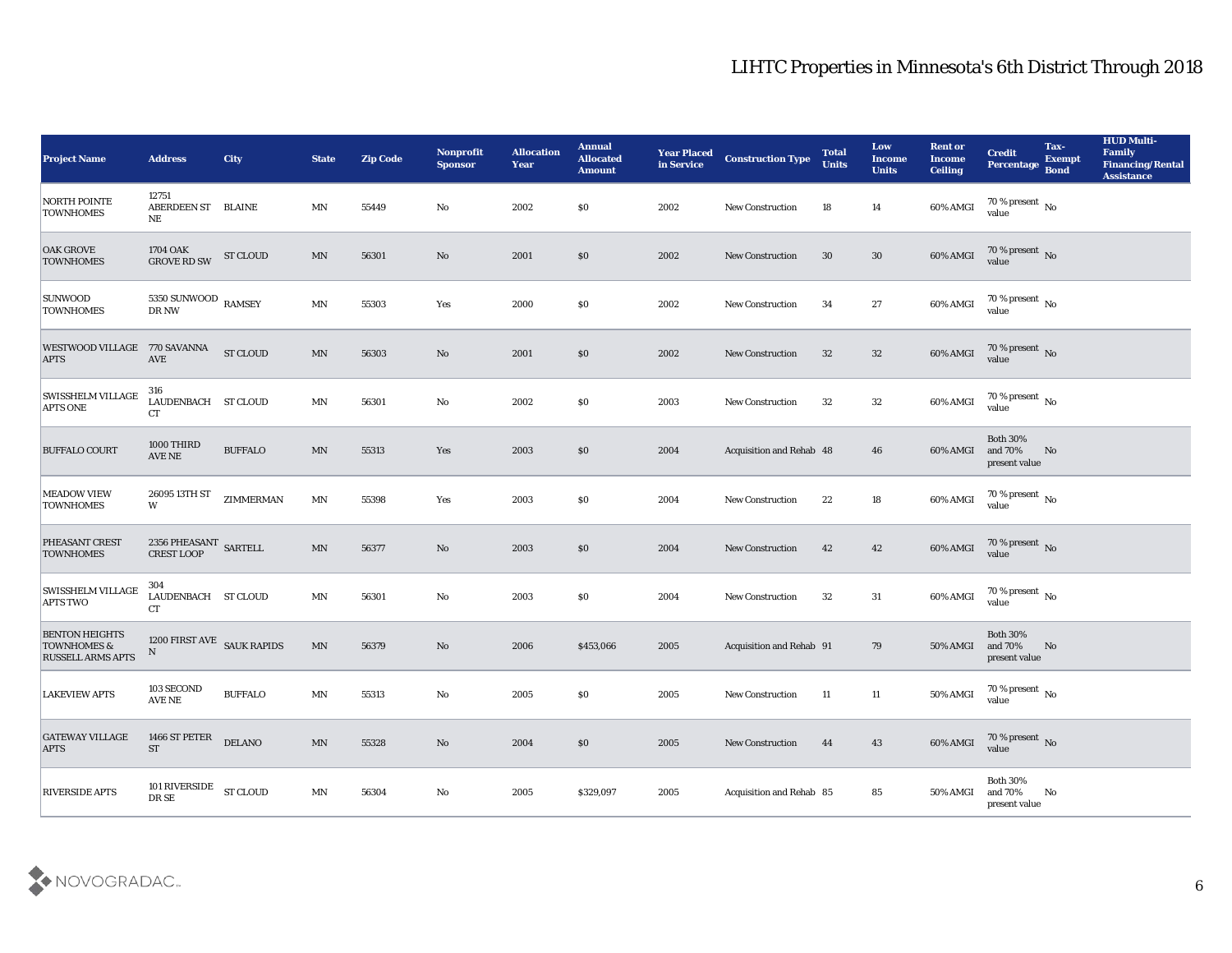| <b>Project Name</b>                                                         | <b>Address</b>                            | <b>City</b>     | <b>State</b>             | <b>Zip Code</b> | Nonprofit<br><b>Sponsor</b> | <b>Allocation</b><br><b>Year</b> | <b>Annual</b><br><b>Allocated</b><br><b>Amount</b> | <b>Year Placed</b><br>in Service | <b>Construction Type</b>        | <b>Total</b><br><b>Units</b> | Low<br><b>Income</b><br><b>Units</b> | <b>Rent or</b><br><b>Income</b><br><b>Ceiling</b> | <b>Credit</b><br><b>Percentage</b>          | Tax-<br><b>Exempt</b><br><b>Bond</b> | <b>HUD Multi-</b><br>Family<br><b>Financing/Rental</b><br><b>Assistance</b> |
|-----------------------------------------------------------------------------|-------------------------------------------|-----------------|--------------------------|-----------------|-----------------------------|----------------------------------|----------------------------------------------------|----------------------------------|---------------------------------|------------------------------|--------------------------------------|---------------------------------------------------|---------------------------------------------|--------------------------------------|-----------------------------------------------------------------------------|
| <b>NORTH POINTE</b><br><b>TOWNHOMES</b>                                     | 12751<br>ABERDEEN ST BLAINE<br>NE         |                 | MN                       | 55449           | No                          | 2002                             | \$0                                                | 2002                             | <b>New Construction</b>         | 18                           | 14                                   | 60% AMGI                                          | $70\,\%$ present $\,$ No $\,$<br>value      |                                      |                                                                             |
| <b>OAK GROVE</b><br><b>TOWNHOMES</b>                                        | 1704 OAK<br><b>GROVE RD SW</b>            | <b>ST CLOUD</b> | MN                       | 56301           | No                          | 2001                             | \$0                                                | 2002                             | <b>New Construction</b>         | 30                           | 30                                   | 60% AMGI                                          | $70\,\%$ present $\,$ No value              |                                      |                                                                             |
| <b>SUNWOOD</b><br><b>TOWNHOMES</b>                                          | 5350 SUNWOOD RAMSEY<br>DR NW              |                 | $\mathbf{M} \mathbf{N}$  | 55303           | Yes                         | 2000                             | \$0                                                | 2002                             | <b>New Construction</b>         | 34                           | 27                                   | 60% AMGI                                          | 70 % present $\,$ No $\,$<br>value          |                                      |                                                                             |
| WESTWOOD VILLAGE 770 SAVANNA<br><b>APTS</b>                                 | <b>AVE</b>                                | <b>ST CLOUD</b> | $\mbox{MN}$              | 56303           | No                          | 2001                             | \$0                                                | 2002                             | <b>New Construction</b>         | 32                           | 32                                   | 60% AMGI                                          | $70\,\%$ present $\,$ No value              |                                      |                                                                             |
| <b>SWISSHELM VILLAGE</b><br><b>APTS ONE</b>                                 | 316<br>LAUDENBACH ST CLOUD<br><b>CT</b>   |                 | MN                       | 56301           | No                          | 2002                             | \$0                                                | 2003                             | <b>New Construction</b>         | 32                           | 32                                   | 60% AMGI                                          | 70 % present No<br>value                    |                                      |                                                                             |
| <b>BUFFALO COURT</b>                                                        | 1000 THIRD<br>AVE NE                      | <b>BUFFALO</b>  | $\mathbf{M} \mathbf{N}$  | 55313           | Yes                         | 2003                             | \$0                                                | 2004                             | Acquisition and Rehab 48        |                              | 46                                   | 60% AMGI                                          | <b>Both 30%</b><br>and 70%<br>present value | No                                   |                                                                             |
| <b>MEADOW VIEW</b><br><b>TOWNHOMES</b>                                      | 26095 13TH ST<br>W                        | ZIMMERMAN       | $\mathbf{M} \mathbf{N}$  | 55398           | Yes                         | 2003                             | \$0                                                | 2004                             | <b>New Construction</b>         | 22                           | 18                                   | 60% AMGI                                          | $70\,\%$ present $\,$ No value              |                                      |                                                                             |
| PHEASANT CREST<br><b>TOWNHOMES</b>                                          | $2356\ {\rm PHEASANT}$ SARTELL CREST LOOP |                 | $\mathbf{M} \mathbf{N}$  | 56377           | No                          | 2003                             | \$0                                                | 2004                             | <b>New Construction</b>         | 42                           | 42                                   | 60% AMGI                                          | $70$ % present $${\rm No}$$ value           |                                      |                                                                             |
| <b>SWISSHELM VILLAGE</b><br><b>APTS TWO</b>                                 | 304<br>LAUDENBACH ST CLOUD<br>CT          |                 | $\mathbf{M} \mathbf{N}$  | 56301           | No                          | 2003                             | \$0                                                | 2004                             | <b>New Construction</b>         | 32                           | 31                                   | 60% AMGI                                          | $70\,\%$ present $\,$ No value              |                                      |                                                                             |
| <b>BENTON HEIGHTS</b><br><b>TOWNHOMES &amp;</b><br><b>RUSSELL ARMS APTS</b> | 1200 FIRST AVE SAUK RAPIDS<br>${\bf N}$   |                 | $\mathbf{M} \mathbf{N}$  | 56379           | $\mathbf{N}\mathbf{o}$      | 2006                             | \$453,066                                          | 2005                             | <b>Acquisition and Rehab 91</b> |                              | 79                                   | 50% AMGI                                          | <b>Both 30%</b><br>and 70%<br>present value | No                                   |                                                                             |
| <b>LAKEVIEW APTS</b>                                                        | 103 SECOND<br>AVE NE                      | <b>BUFFALO</b>  | MN                       | 55313           | No                          | 2005                             | \$0                                                | 2005                             | <b>New Construction</b>         | 11                           | 11                                   | 50% AMGI                                          | 70 % present $\,$ No $\,$<br>value          |                                      |                                                                             |
| <b>GATEWAY VILLAGE</b><br><b>APTS</b>                                       | 1466 ST PETER<br><b>ST</b>                | <b>DELANO</b>   | $\mathbf{M} \mathbf{N}$  | 55328           | $\rm\thinspace No$          | 2004                             | \$0                                                | 2005                             | New Construction                | 44                           | 43                                   | 60% AMGI                                          | $70\,\%$ present $\,$ No value              |                                      |                                                                             |
| <b>RIVERSIDE APTS</b>                                                       | 101 RIVERSIDE<br>DR SE                    | <b>ST CLOUD</b> | $\ensuremath{\text{MN}}$ | 56304           | $\rm\thinspace No$          | 2005                             | \$329,097                                          | 2005                             | Acquisition and Rehab 85        |                              | 85                                   | 50% AMGI                                          | Both $30\%$<br>and $70\%$<br>present value  | $\mathbf{N}\mathbf{o}$               |                                                                             |

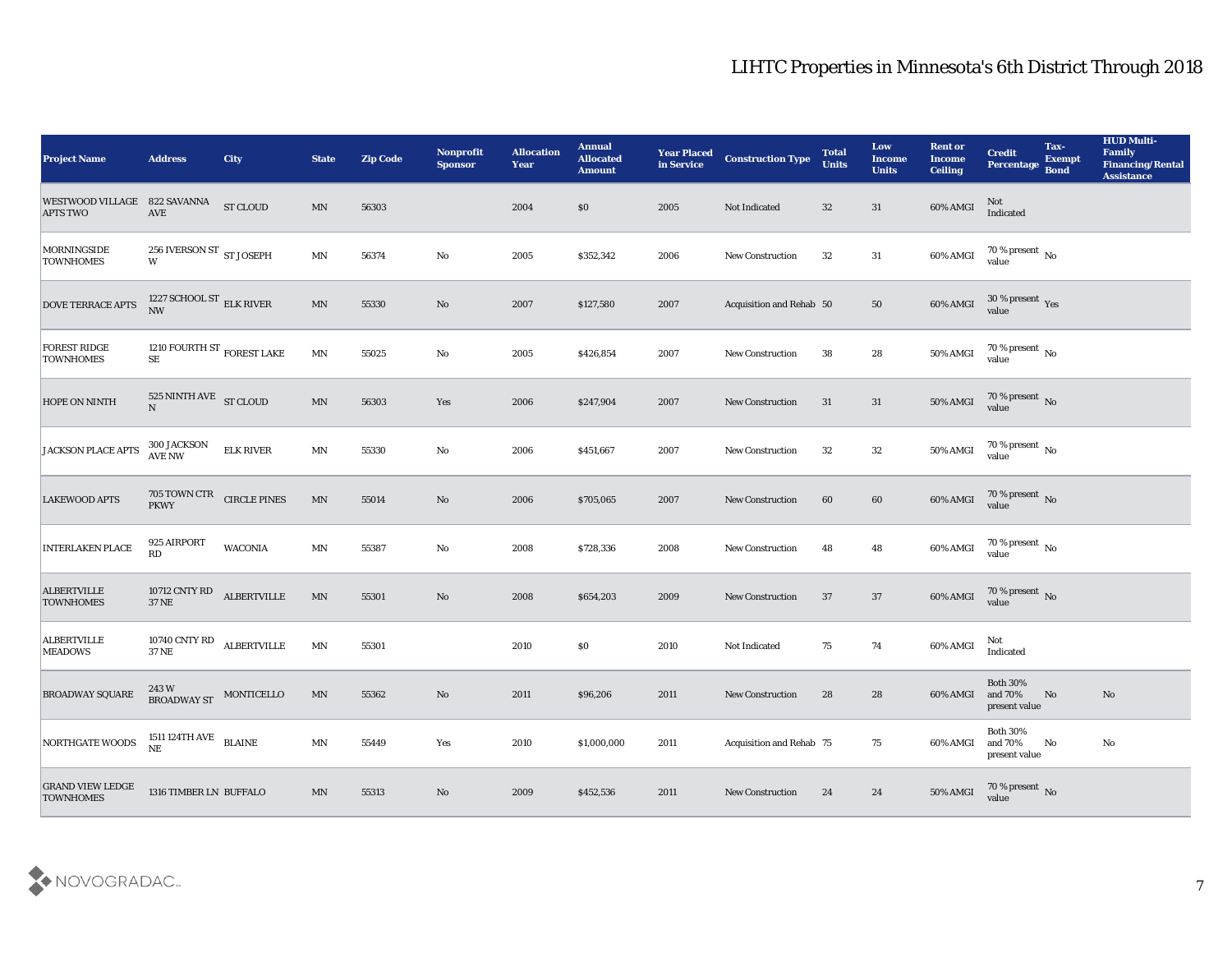| <b>Project Name</b>                                                                                                                               | <b>Address</b>                                    | City               | <b>State</b>             | <b>Zip Code</b> | <b>Nonprofit</b><br><b>Sponsor</b> | <b>Allocation</b><br><b>Year</b> | <b>Annual</b><br><b>Allocated</b><br><b>Amount</b> | <b>Year Placed</b><br>in Service | <b>Construction Type</b> | <b>Total</b><br><b>Units</b> | Low<br><b>Income</b><br><b>Units</b> | <b>Rent or</b><br><b>Income</b><br><b>Ceiling</b> | <b>Credit</b><br>Percentage                 | Tax-<br><b>Exempt</b><br><b>Bond</b> | <b>HUD Multi-</b><br>Family<br><b>Financing/Rental</b><br><b>Assistance</b> |
|---------------------------------------------------------------------------------------------------------------------------------------------------|---------------------------------------------------|--------------------|--------------------------|-----------------|------------------------------------|----------------------------------|----------------------------------------------------|----------------------------------|--------------------------|------------------------------|--------------------------------------|---------------------------------------------------|---------------------------------------------|--------------------------------------|-----------------------------------------------------------------------------|
| $\begin{tabular}{ll} \textbf{WESTWOOD VILLAGE} & \textbf{822 SAVANNA} & \textbf{ST CLOUD} \\ \textbf{APTS TWO} & \textbf{AVE} & \\ \end{tabular}$ |                                                   |                    | $\ensuremath{\text{MN}}$ | 56303           |                                    | 2004                             | \$0                                                | 2005                             | Not Indicated            | 32                           | 31                                   | 60% AMGI                                          | Not<br>Indicated                            |                                      |                                                                             |
| <b>MORNINGSIDE</b><br><b>TOWNHOMES</b>                                                                                                            | 256 IVERSON ST $\,$ ST JOSEPH<br>W                |                    | $\ensuremath{\text{MN}}$ | 56374           | No                                 | 2005                             | \$352,342                                          | 2006                             | New Construction         | 32                           | 31                                   | 60% AMGI                                          | $70\,\% \,present \over value$              |                                      |                                                                             |
| <b>DOVE TERRACE APTS</b>                                                                                                                          | 1227 SCHOOL ST $_{\rm ELK \, RIVER}$<br>NW        |                    | $\mathbf{M} \mathbf{N}$  | 55330           | No                                 | 2007                             | \$127,580                                          | 2007                             | Acquisition and Rehab 50 |                              | 50                                   | $60\%$ AMGI                                       | $30\,\%$ present $\,$ Yes value             |                                      |                                                                             |
| <b>FOREST RIDGE</b><br><b>TOWNHOMES</b>                                                                                                           | 1210 FOURTH ST $_{\rm FOREST \ LAKE}$<br>$\rm SE$ |                    | $\mathbf{M} \mathbf{N}$  | 55025           | No                                 | 2005                             | \$426,854                                          | 2007                             | <b>New Construction</b>  | 38                           | 28                                   | 50% AMGI                                          | $70\,\%$ present $\,$ No value              |                                      |                                                                             |
| <b>HOPE ON NINTH</b>                                                                                                                              | 525 NINTH AVE ST CLOUD<br>$\overline{N}$          |                    | $\mbox{MN}$              | 56303           | Yes                                | 2006                             | \$247,904                                          | 2007                             | <b>New Construction</b>  | 31                           | 31                                   | 50% AMGI                                          | $70\,\%$ present $\,$ No value              |                                      |                                                                             |
| JACKSON PLACE APTS                                                                                                                                | 300 JACKSON<br>AVE NW                             | <b>ELK RIVER</b>   | $\mathbf{M} \mathbf{N}$  | 55330           | No                                 | 2006                             | \$451,667                                          | 2007                             | <b>New Construction</b>  | 32                           | 32                                   | 50% AMGI                                          | $70\,\%$ present $\,$ No value              |                                      |                                                                             |
| <b>LAKEWOOD APTS</b>                                                                                                                              | $705$ TOWN CTR $$\sf CIRCLE~PINES$$               |                    | MN                       | 55014           | No                                 | 2006                             | \$705,065                                          | 2007                             | New Construction         | 60                           | 60                                   |                                                   | 60% AMGI 70 % present No                    |                                      |                                                                             |
| <b>INTERLAKEN PLACE</b>                                                                                                                           | 925 AIRPORT<br>RD                                 | <b>WACONIA</b>     | $\mathbf{M} \mathbf{N}$  | 55387           | No                                 | 2008                             | \$728,336                                          | 2008                             | <b>New Construction</b>  | 48                           | 48                                   | 60% AMGI                                          | $70\,\%$ present $\,$ No value              |                                      |                                                                             |
| <b>ALBERTVILLE</b><br><b>TOWNHOMES</b>                                                                                                            | 10712 CNTY RD<br><b>37 NE</b>                     | <b>ALBERTVILLE</b> | $\ensuremath{\text{MN}}$ | 55301           | No                                 | 2008                             | \$654,203                                          | 2009                             | <b>New Construction</b>  | 37                           | 37                                   | 60% AMGI                                          | $70\,\%$ present $\,$ No value              |                                      |                                                                             |
| <b>ALBERTVILLE</b><br><b>MEADOWS</b>                                                                                                              | 10740 CNTY RD<br><b>37 NE</b>                     | <b>ALBERTVILLE</b> | $\mathbf{M} \mathbf{N}$  | 55301           |                                    | 2010                             | \$0\$                                              | 2010                             | Not Indicated            | 75                           | 74                                   | 60% AMGI                                          | Not<br>Indicated                            |                                      |                                                                             |
| <b>BROADWAY SQUARE</b>                                                                                                                            | 243 W<br>BROADWAY ST MONTICELLO                   |                    | MN                       | 55362           | No                                 | 2011                             | \$96,206                                           | 2011                             | <b>New Construction</b>  | 28                           | 28                                   | 60% AMGI and 70%                                  | <b>Both 30%</b><br>present value            | No                                   | No                                                                          |
| NORTHGATE WOODS                                                                                                                                   | $1511\,124\mathrm{TH\,AVE}$ BLAINE NE             |                    | $\mathbf{M} \mathbf{N}$  | 55449           | $\operatorname{\textsc{Yes}}$      | 2010                             | \$1,000,000                                        | 2011                             | Acquisition and Rehab 75 |                              | 75                                   | 60% AMGI                                          | <b>Both 30%</b><br>and 70%<br>present value | $\mathbf{N}\mathbf{o}$               | $\mathbf{No}$                                                               |
| <b>GRAND VIEW LEDGE</b><br><b>TOWNHOMES</b>                                                                                                       | 1316 TIMBER LN BUFFALO                            |                    | $\mathbf{M} \mathbf{N}$  | 55313           | $\rm\thinspace No$                 | 2009                             | \$452,536                                          | 2011                             | New Construction         | 24                           | 24                                   | 50% AMGI                                          | $70\,\%$ present $\,$ No value              |                                      |                                                                             |

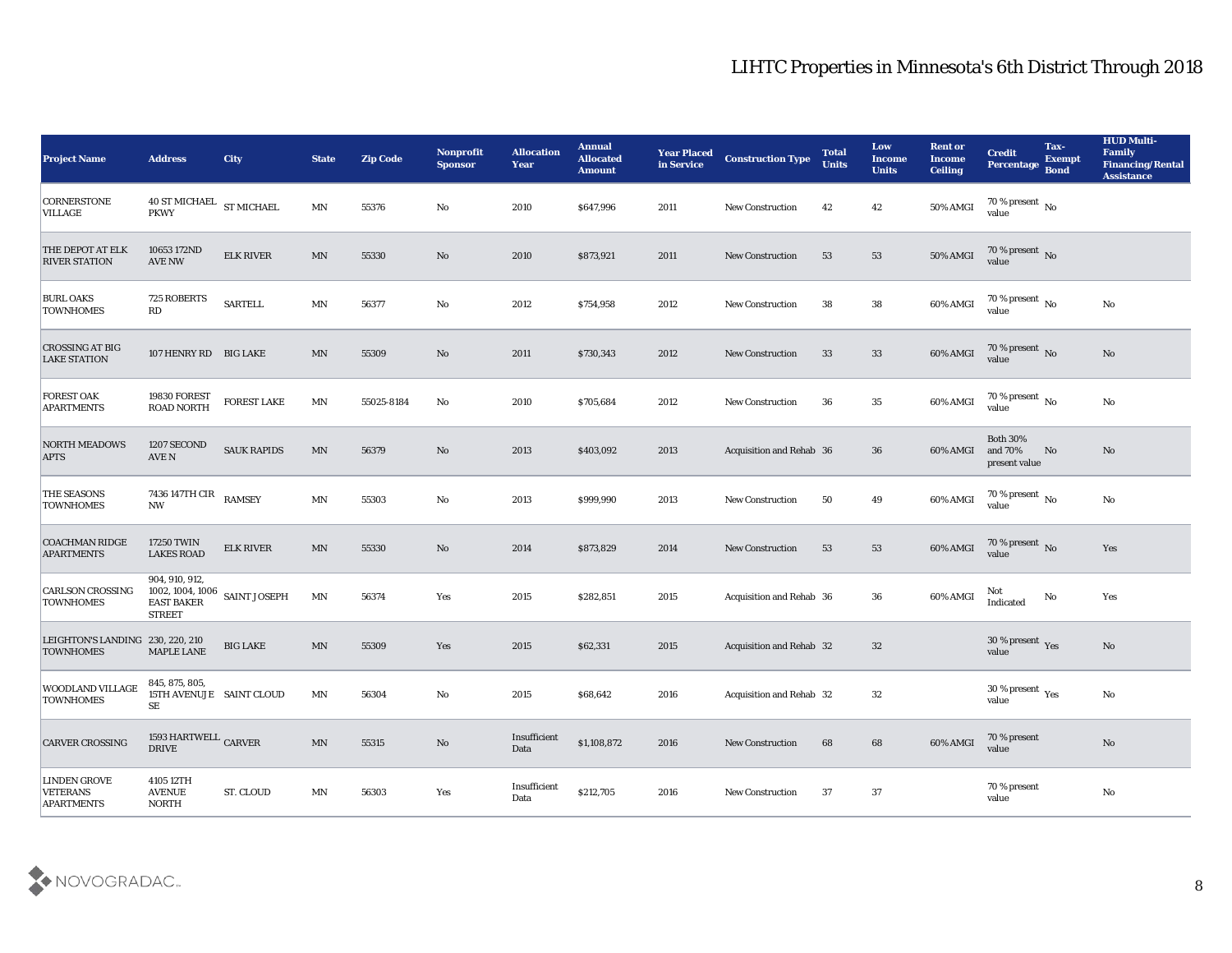| <b>Project Name</b>                                  | <b>Address</b>                                         | <b>City</b>                      | <b>State</b>            | <b>Zip Code</b> | Nonprofit<br><b>Sponsor</b> | <b>Allocation</b><br><b>Year</b> | <b>Annual</b><br><b>Allocated</b><br><b>Amount</b> | <b>Year Placed</b><br>in Service | <b>Construction Type</b> | <b>Total</b><br><b>Units</b> | Low<br><b>Income</b><br><b>Units</b> | <b>Rent or</b><br><b>Income</b><br><b>Ceiling</b> | <b>Credit</b><br>Percentage Bond            | Tax-<br><b>Exempt</b> | <b>HUD Multi-</b><br>Family<br><b>Financing/Rental</b><br><b>Assistance</b> |
|------------------------------------------------------|--------------------------------------------------------|----------------------------------|-------------------------|-----------------|-----------------------------|----------------------------------|----------------------------------------------------|----------------------------------|--------------------------|------------------------------|--------------------------------------|---------------------------------------------------|---------------------------------------------|-----------------------|-----------------------------------------------------------------------------|
| <b>CORNERSTONE</b><br><b>VILLAGE</b>                 | $40$ ST MICHAEL $\,$ ST MICHAEL<br><b>PKWY</b>         |                                  | MN                      | 55376           | No                          | 2010                             | \$647,996                                          | 2011                             | <b>New Construction</b>  | 42                           | 42                                   | 50% AMGI                                          | 70 % present $\,$ No $\,$<br>value          |                       |                                                                             |
| THE DEPOT AT ELK<br><b>RIVER STATION</b>             | 10653 172ND<br><b>AVE NW</b>                           | <b>ELK RIVER</b>                 | MN                      | 55330           | No                          | 2010                             | \$873,921                                          | 2011                             | <b>New Construction</b>  | 53                           | 53                                   | 50% AMGI                                          | $70\,\%$ present $\,$ No value              |                       |                                                                             |
| <b>BURL OAKS</b><br><b>TOWNHOMES</b>                 | 725 ROBERTS<br>RD                                      | <b>SARTELL</b>                   | $\mathbf{M} \mathbf{N}$ | 56377           | No                          | 2012                             | \$754,958                                          | 2012                             | <b>New Construction</b>  | 38                           | 38                                   | 60% AMGI                                          | 70 % present $\,$ No $\,$<br>value          |                       | No                                                                          |
| <b>CROSSING AT BIG</b><br><b>LAKE STATION</b>        | 107 HENRY RD BIG LAKE                                  |                                  | MN                      | 55309           | No                          | 2011                             | \$730,343                                          | 2012                             | <b>New Construction</b>  | 33                           | 33                                   | 60% AMGI                                          | $70\,\%$ present $\,$ No value              |                       | No                                                                          |
| <b>FOREST OAK</b><br><b>APARTMENTS</b>               | 19830 FOREST<br><b>ROAD NORTH</b>                      | FOREST LAKE                      | MN                      | 55025-8184      | No                          | 2010                             | \$705,684                                          | 2012                             | New Construction         | 36                           | 35                                   | 60% AMGI                                          | 70 % present $\,$ No $\,$<br>value          |                       | No                                                                          |
| <b>NORTH MEADOWS</b><br><b>APTS</b>                  | 1207 SECOND<br>AVE N                                   | <b>SAUK RAPIDS</b>               | MN                      | 56379           | No                          | 2013                             | \$403,092                                          | 2013                             | Acquisition and Rehab 36 |                              | 36                                   | 60% AMGI                                          | <b>Both 30%</b><br>and 70%<br>present value | No                    | No                                                                          |
| <b>THE SEASONS</b><br><b>TOWNHOMES</b>               | 7436 147TH CIR $_{\rm RAMSEY}$<br><b>NW</b>            |                                  | MN                      | 55303           | No                          | 2013                             | \$999,990                                          | 2013                             | <b>New Construction</b>  | 50                           | 49                                   | 60% AMGI                                          | $70\,\%$ present $_{\rm No}$                |                       | No                                                                          |
| <b>COACHMAN RIDGE</b><br><b>APARTMENTS</b>           | <b>17250 TWIN</b><br><b>LAKES ROAD</b>                 | <b>ELK RIVER</b>                 | MN                      | 55330           | No                          | 2014                             | \$873,829                                          | 2014                             | <b>New Construction</b>  | 53                           | 53                                   | 60% AMGI                                          | 70 % present No<br>value                    |                       | Yes                                                                         |
| <b>CARLSON CROSSING</b><br><b>TOWNHOMES</b>          | 904, 910, 912,<br><b>EAST BAKER</b><br><b>STREET</b>   | 1002, 1004, 1006<br>SAINT JOSEPH | MN                      | 56374           | Yes                         | 2015                             | \$282,851                                          | 2015                             | Acquisition and Rehab 36 |                              | 36                                   | 60% AMGI                                          | Not<br>Indicated                            | No                    | Yes                                                                         |
| LEIGHTON'S LANDING 230, 220, 210<br><b>TOWNHOMES</b> | <b>MAPLE LANE</b>                                      | <b>BIG LAKE</b>                  | MN                      | 55309           | Yes                         | 2015                             | \$62,331                                           | 2015                             | Acquisition and Rehab 32 |                              | 32                                   |                                                   | $30\,\%$ present $\,$ Yes value             |                       | No                                                                          |
| WOODLAND VILLAGE<br><b>TOWNHOMES</b>                 | 845, 875, 805,<br>15TH AVENUJE SAINT CLOUD<br>$\rm SE$ |                                  | MN                      | 56304           | No                          | 2015                             | \$68,642                                           | 2016                             | Acquisition and Rehab 32 |                              | 32                                   |                                                   | 30 % present $\rm\,Yes$<br>value            |                       | No                                                                          |
| <b>CARVER CROSSING</b>                               | 1593 HARTWELL $_{\rm CARVER}$<br><b>DRIVE</b>          |                                  | $\mathbf{M} \mathbf{N}$ | 55315           | $\mathbf {No}$              | Insufficient<br>Data             | \$1,108,872                                        | 2016                             | New Construction         | 68                           | 68                                   | 60% AMGI                                          | 70 % present<br>value                       |                       | $\rm \bf No$                                                                |
| <b>LINDEN GROVE</b><br><b>VETERANS</b><br>APARTMENTS | 4105 12TH<br><b>AVENUE</b><br>$\sf{NORTH}$             | ST. CLOUD                        | MN                      | 56303           | Yes                         | Insufficient<br>Data             | \$212,705                                          | 2016                             | New Construction         | 37                           | 37                                   |                                                   | 70 % present<br>value                       |                       | ${\bf No}$                                                                  |

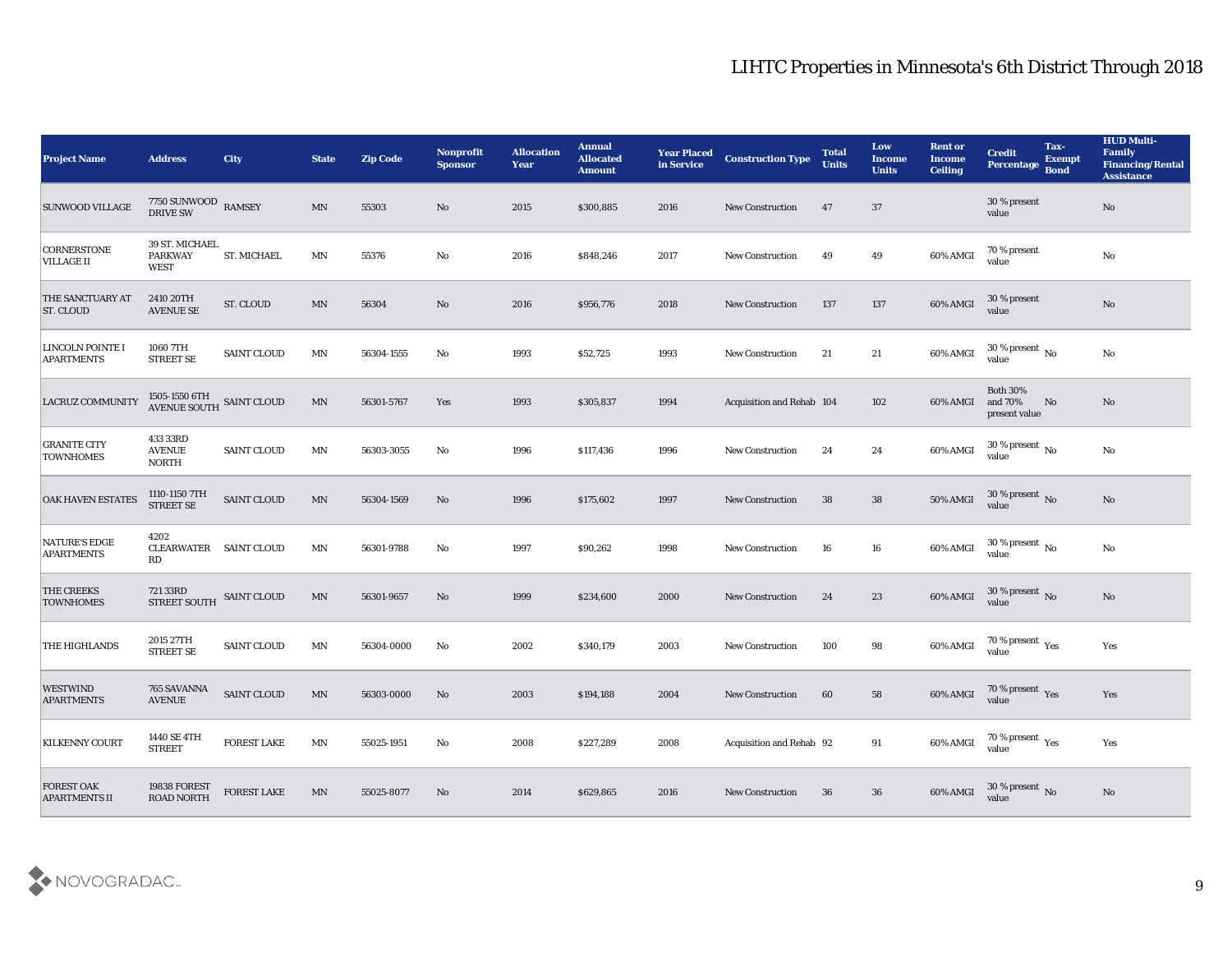| <b>Project Name</b>                         | <b>Address</b>                                  | <b>City</b>        | <b>State</b>             | <b>Zip Code</b> | <b>Nonprofit</b><br><b>Sponsor</b> | <b>Allocation</b><br><b>Year</b> | <b>Annual</b><br><b>Allocated</b><br><b>Amount</b> | <b>Year Placed</b><br>in Service | <b>Construction Type</b>  | <b>Total</b><br><b>Units</b> | Low<br><b>Income</b><br><b>Units</b> | <b>Rent or</b><br>Income<br><b>Ceiling</b> | <b>Credit</b><br>Percentage                 | Tax-<br><b>Exempt</b><br><b>Bond</b> | <b>HUD Multi-</b><br>Family<br><b>Financing/Rental</b><br><b>Assistance</b> |
|---------------------------------------------|-------------------------------------------------|--------------------|--------------------------|-----------------|------------------------------------|----------------------------------|----------------------------------------------------|----------------------------------|---------------------------|------------------------------|--------------------------------------|--------------------------------------------|---------------------------------------------|--------------------------------------|-----------------------------------------------------------------------------|
| <b>SUNWOOD VILLAGE</b>                      | $7750$ SUNWOOD $\;$ RAMSEY DRIVE SW             |                    | MN                       | 55303           | No                                 | 2015                             | \$300,885                                          | 2016                             | <b>New Construction</b>   | 47                           | 37                                   |                                            | 30 % present<br>value                       |                                      | No                                                                          |
| <b>CORNERSTONE</b><br><b>VILLAGE II</b>     | 39 ST. MICHAEL<br><b>PARKWAY</b><br><b>WEST</b> | ST. MICHAEL        | MN                       | 55376           | No                                 | 2016                             | \$848,246                                          | 2017                             | <b>New Construction</b>   | 49                           | 49                                   | 60% AMGI                                   | 70 % present<br>value                       |                                      | No                                                                          |
| <b>THE SANCTUARY AT</b><br><b>ST. CLOUD</b> | 2410 20TH<br><b>AVENUE SE</b>                   | ST. CLOUD          | MN                       | 56304           | No                                 | 2016                             | \$956,776                                          | 2018                             | <b>New Construction</b>   | 137                          | 137                                  | 60% AMGI                                   | 30 % present<br>value                       |                                      | No                                                                          |
| LINCOLN POINTE I<br><b>APARTMENTS</b>       | 1060 7TH<br><b>STREET SE</b>                    | <b>SAINT CLOUD</b> | MN                       | 56304-1555      | No                                 | 1993                             | \$52,725                                           | 1993                             | <b>New Construction</b>   | 21                           | 21                                   | 60% AMGI                                   | $30\,\%$ present $\,$ No $\,$<br>value      |                                      | No                                                                          |
| LACRUZ COMMUNITY                            | 1505-1550 6TH<br>AVENUE SOUTH SAINT CLOUD       |                    | MN                       | 56301-5767      | Yes                                | 1993                             | \$305,837                                          | 1994                             | Acquisition and Rehab 104 |                              | 102                                  | 60% AMGI                                   | <b>Both 30%</b><br>and 70%<br>present value | No                                   | No                                                                          |
| <b>GRANITE CITY</b><br><b>TOWNHOMES</b>     | 433 33RD<br><b>AVENUE</b><br><b>NORTH</b>       | SAINT CLOUD        | MN                       | 56303-3055      | No                                 | 1996                             | \$117,436                                          | 1996                             | <b>New Construction</b>   | 24                           | 24                                   | 60% AMGI                                   | 30 % present $\,$ No $\,$<br>value          |                                      | No                                                                          |
| <b>OAK HAVEN ESTATES</b>                    | 1110-1150 7TH<br><b>STREET SE</b>               | <b>SAINT CLOUD</b> | MN                       | 56304-1569      | No                                 | 1996                             | \$175,602                                          | 1997                             | <b>New Construction</b>   | 38                           | 38                                   | <b>50% AMGI</b>                            | $30\,\%$ present $\,$ No value              |                                      | No                                                                          |
| <b>NATURE'S EDGE</b><br><b>APARTMENTS</b>   | 4202<br>CLEARWATER SAINT CLOUD<br>RD            |                    | MN                       | 56301-9788      | No                                 | 1997                             | \$90,262                                           | 1998                             | <b>New Construction</b>   | 16                           | 16                                   | 60% AMGI                                   | 30 % present $\,$ No $\,$<br>value          |                                      | No                                                                          |
| <b>THE CREEKS</b><br><b>TOWNHOMES</b>       | 721 33RD<br><b>STREET SOUTH</b>                 | <b>SAINT CLOUD</b> | MN                       | 56301-9657      | No                                 | 1999                             | \$234,600                                          | 2000                             | <b>New Construction</b>   | 24                           | 23                                   | 60% AMGI                                   | $30\,\%$ present $\,$ No value              |                                      | No                                                                          |
| <b>THE HIGHLANDS</b>                        | 2015 27TH<br><b>STREET SE</b>                   | <b>SAINT CLOUD</b> | MN                       | 56304-0000      | No                                 | 2002                             | \$340,179                                          | 2003                             | <b>New Construction</b>   | 100                          | 98                                   | 60% AMGI                                   | $70\,\%$ present $\,$ Yes value             |                                      | Yes                                                                         |
| <b>WESTWIND</b><br><b>APARTMENTS</b>        | 765 SAVANNA<br><b>AVENUE</b>                    | <b>SAINT CLOUD</b> | MN                       | 56303-0000      | No                                 | 2003                             | \$194,188                                          | 2004                             | <b>New Construction</b>   | 60                           | 58                                   | 60% AMGI                                   | 70 % present Yes<br>value                   |                                      | Yes                                                                         |
| <b>KILKENNY COURT</b>                       | 1440 SE 4TH<br><b>STREET</b>                    | FOREST LAKE        | MN                       | 55025-1951      | $\mathbf {No}$                     | 2008                             | \$227,289                                          | 2008                             | Acquisition and Rehab 92  |                              | 91                                   | 60% AMGI                                   | $70\,\%$ present $\,$ Yes value             |                                      | Yes                                                                         |
| <b>FOREST OAK</b><br><b>APARTMENTS II</b>   | 19838 FOREST<br><b>ROAD NORTH</b>               | FOREST LAKE        | $\ensuremath{\text{MN}}$ | 55025-8077      | $\rm\thinspace No$                 | 2014                             | \$629,865                                          | 2016                             | New Construction          | 36                           | 36                                   | 60% AMGI                                   | $30\,\%$ present $\,$ No value              |                                      | $\mathbf{N}\mathbf{o}$                                                      |